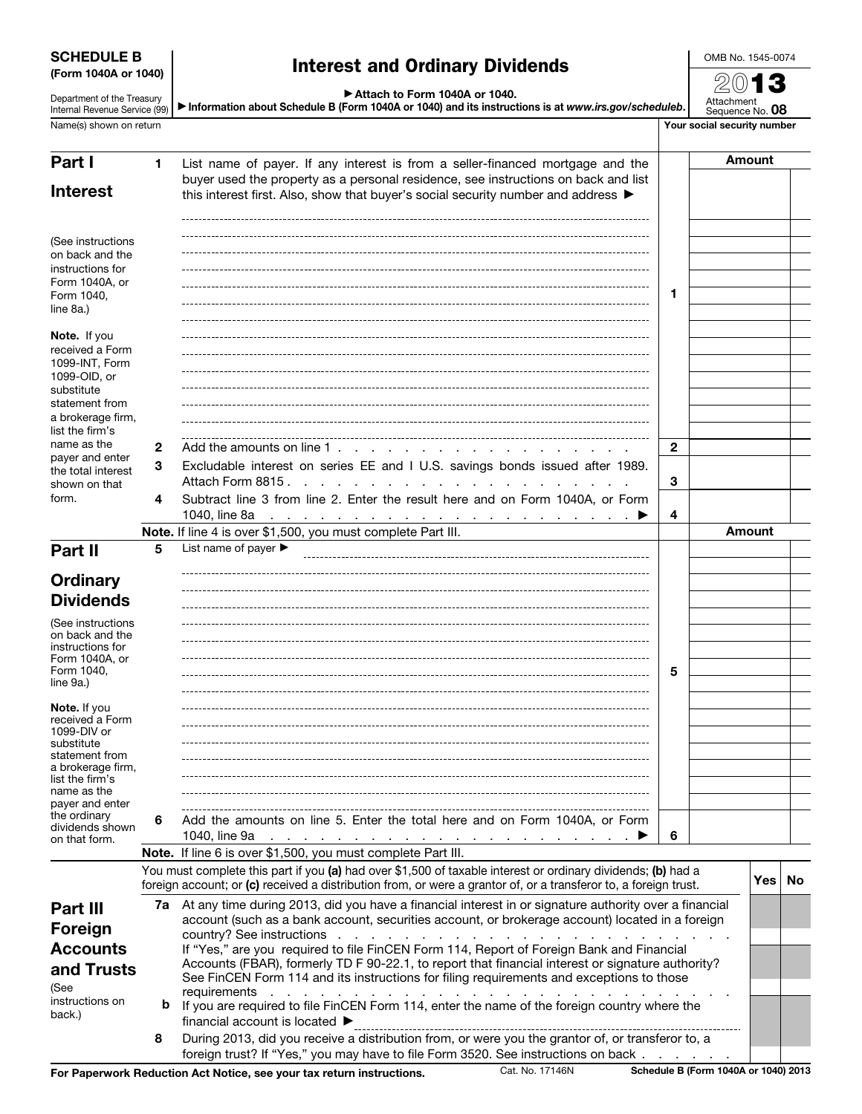| <b>SCHEDULE B</b> |                      |
|-------------------|----------------------|
|                   | (Form 1040A or 1040) |

Department of the Treasury Internal Revenue Service (99)

# Interest and Ordinary Dividends

OMB No. 1545-0074 2013

| Attach to Form 1040A or 1040. |  |  |  |
|-------------------------------|--|--|--|
|                               |  |  |  |

▶ Information about Schedule B (Form 1040A or 1040) and its instructions is at *www.irs.gov/scheduleb*.

Attachment Sequence No. 08 Name(s) shown on return **Your social security number** Your social security number

| Part I                                                                     | 1                 | List name of payer. If any interest is from a seller-financed mortgage and the                                                                                                                                                                       |              |  | Amount        |  |  |
|----------------------------------------------------------------------------|-------------------|------------------------------------------------------------------------------------------------------------------------------------------------------------------------------------------------------------------------------------------------------|--------------|--|---------------|--|--|
| <b>Interest</b>                                                            |                   | buyer used the property as a personal residence, see instructions on back and list<br>this interest first. Also, show that buyer's social security number and address $\blacktriangleright$                                                          |              |  |               |  |  |
|                                                                            |                   |                                                                                                                                                                                                                                                      |              |  |               |  |  |
| (See instructions<br>on back and the                                       |                   |                                                                                                                                                                                                                                                      |              |  |               |  |  |
| instructions for                                                           |                   |                                                                                                                                                                                                                                                      |              |  |               |  |  |
| Form 1040A, or<br>Form 1040,                                               |                   |                                                                                                                                                                                                                                                      | 1            |  |               |  |  |
| line 8a.)                                                                  |                   |                                                                                                                                                                                                                                                      |              |  |               |  |  |
| Note. If you<br>received a Form<br>1099-INT, Form                          |                   |                                                                                                                                                                                                                                                      |              |  |               |  |  |
| 1099-OID, or<br>substitute<br>statement from                               |                   |                                                                                                                                                                                                                                                      |              |  |               |  |  |
| a brokerage firm,                                                          |                   |                                                                                                                                                                                                                                                      |              |  |               |  |  |
| list the firm's<br>name as the                                             |                   |                                                                                                                                                                                                                                                      |              |  |               |  |  |
| payer and enter                                                            | $\mathbf{2}$<br>3 | Add the amounts on line 1, $\ldots$ , $\ldots$ , $\ldots$ , $\ldots$                                                                                                                                                                                 | $\mathbf{2}$ |  |               |  |  |
| the total interest<br>shown on that                                        |                   | Excludable interest on series EE and I U.S. savings bonds issued after 1989.<br>Attach Form 8815.                                                                                                                                                    | 3            |  |               |  |  |
| form.                                                                      | 4                 | Subtract line 3 from line 2. Enter the result here and on Form 1040A, or Form<br>1040, line 8a<br><u> 1989 - Paris Paris Paris Paris Paris Paris Paris Paris P</u>                                                                                   | 4            |  |               |  |  |
|                                                                            |                   | Note. If line 4 is over \$1,500, you must complete Part III.                                                                                                                                                                                         |              |  | <b>Amount</b> |  |  |
| Part II                                                                    | 5                 | List name of payer $\blacktriangleright$                                                                                                                                                                                                             |              |  |               |  |  |
| <b>Ordinary</b>                                                            |                   |                                                                                                                                                                                                                                                      |              |  |               |  |  |
| <b>Dividends</b>                                                           |                   |                                                                                                                                                                                                                                                      |              |  |               |  |  |
|                                                                            |                   |                                                                                                                                                                                                                                                      |              |  |               |  |  |
| (See instructions<br>on back and the<br>instructions for<br>Form 1040A, or |                   |                                                                                                                                                                                                                                                      |              |  |               |  |  |
| Form 1040,<br>line 9a.)                                                    |                   |                                                                                                                                                                                                                                                      | 5            |  |               |  |  |
| Note. If you<br>received a Form<br>1099-DIV or                             |                   |                                                                                                                                                                                                                                                      |              |  |               |  |  |
| substitute<br>statement from                                               |                   |                                                                                                                                                                                                                                                      |              |  |               |  |  |
| a brokerage firm,                                                          |                   |                                                                                                                                                                                                                                                      |              |  |               |  |  |
| list the firm's<br>name as the                                             |                   |                                                                                                                                                                                                                                                      |              |  |               |  |  |
| payer and enter                                                            |                   |                                                                                                                                                                                                                                                      |              |  |               |  |  |
| the ordinary<br>dividends shown<br>on that form.                           | 6                 | Add the amounts on line 5. Enter the total here and on Form 1040A, or Form<br>1040, line 9a $\cdots$ $\cdots$ $\cdots$ $\cdots$ $\cdots$ $\cdots$ $\cdots$ $\cdots$ $\cdots$ $\cdots$                                                                | 6            |  |               |  |  |
|                                                                            |                   | Note. If line 6 is over \$1,500, you must complete Part III.<br>You must complete this part if you (a) had over \$1,500 of taxable interest or ordinary dividends; (b) had a                                                                         |              |  |               |  |  |
|                                                                            |                   | foreign account; or (c) received a distribution from, or were a grantor of, or a transferor to, a foreign trust.                                                                                                                                     |              |  | Yes   No      |  |  |
| Part III                                                                   |                   | 7a At any time during 2013, did you have a financial interest in or signature authority over a financial<br>account (such as a bank account, securities account, or brokerage account) located in a foreign                                          |              |  |               |  |  |
| Foreign                                                                    |                   |                                                                                                                                                                                                                                                      |              |  |               |  |  |
| <b>Accounts</b>                                                            |                   | If "Yes," are you required to file FinCEN Form 114, Report of Foreign Bank and Financial                                                                                                                                                             |              |  |               |  |  |
| and Trusts<br>(See                                                         |                   | Accounts (FBAR), formerly TD F 90-22.1, to report that financial interest or signature authority?<br>See FinCEN Form 114 and its instructions for filing requirements and exceptions to those<br>requirements<br>the contract of the contract of the |              |  |               |  |  |
| instructions on<br>back.)                                                  | b                 | If you are required to file FinCEN Form 114, enter the name of the foreign country where the<br>financial account is located ▶                                                                                                                       |              |  |               |  |  |
|                                                                            | 8                 | During 2013, did you receive a distribution from, or were you the grantor of, or transferor to, a<br>foreign trust? If "Yes," you may have to file Form 3520. See instructions on back                                                               |              |  |               |  |  |